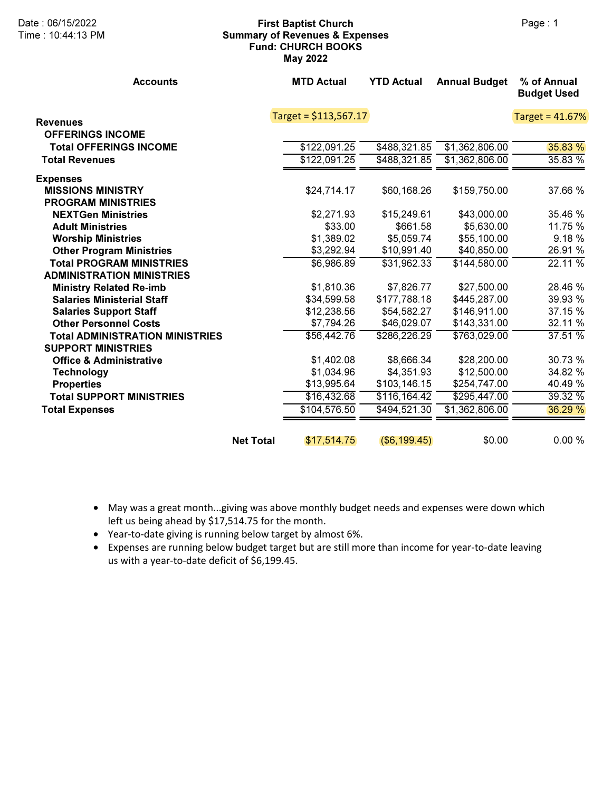## Date : 06/15/2022 **First Baptist Church** Page : 1 Summary of Revenues & Expenses Fund: CHURCH BOOKS May 2022

| <b>Accounts</b>                        |                  | <b>MTD Actual</b>      | <b>YTD Actual</b> | <b>Annual Budget</b> | % of Annual<br><b>Budget Used</b> |
|----------------------------------------|------------------|------------------------|-------------------|----------------------|-----------------------------------|
| <b>Revenues</b>                        |                  | Target = $$113,567.17$ |                   |                      | Target = 41.67%                   |
| <b>OFFERINGS INCOME</b>                |                  |                        |                   |                      |                                   |
| <b>Total OFFERINGS INCOME</b>          |                  | \$122,091.25           | \$488,321.85      | \$1,362,806.00       | 35.83 %                           |
| <b>Total Revenues</b>                  |                  | \$122,091.25           | \$488,321.85      | \$1,362,806.00       | 35.83 %                           |
| <b>Expenses</b>                        |                  |                        |                   |                      |                                   |
| <b>MISSIONS MINISTRY</b>               |                  | \$24,714.17            | \$60,168.26       | \$159,750.00         | 37.66 %                           |
| <b>PROGRAM MINISTRIES</b>              |                  |                        |                   |                      |                                   |
| <b>NEXTGen Ministries</b>              |                  | \$2,271.93             | \$15,249.61       | \$43,000.00          | 35.46 %                           |
| <b>Adult Ministries</b>                |                  | \$33.00                | \$661.58          | \$5,630.00           | 11.75 %                           |
| <b>Worship Ministries</b>              |                  | \$1,389.02             | \$5,059.74        | \$55,100.00          | 9.18%                             |
| <b>Other Program Ministries</b>        |                  | \$3,292.94             | \$10,991.40       | \$40,850.00          | 26.91 %                           |
| <b>Total PROGRAM MINISTRIES</b>        |                  | \$6,986.89             | \$31,962.33       | \$144,580.00         | 22.11 %                           |
| <b>ADMINISTRATION MINISTRIES</b>       |                  |                        |                   |                      |                                   |
| <b>Ministry Related Re-imb</b>         |                  | \$1,810.36             | \$7,826.77        | \$27,500.00          | 28.46 %                           |
| <b>Salaries Ministerial Staff</b>      |                  | \$34,599.58            | \$177,788.18      | \$445,287.00         | 39.93 %                           |
| <b>Salaries Support Staff</b>          |                  | \$12,238.56            | \$54,582.27       | \$146,911.00         | 37.15 %                           |
| <b>Other Personnel Costs</b>           |                  | \$7,794.26             | \$46,029.07       | \$143,331.00         | 32.11 %                           |
| <b>Total ADMINISTRATION MINISTRIES</b> |                  | \$56,442.76            | \$286,226.29      | \$763,029.00         | 37.51%                            |
| <b>SUPPORT MINISTRIES</b>              |                  |                        |                   |                      |                                   |
| <b>Office &amp; Administrative</b>     |                  | \$1,402.08             | \$8,666.34        | \$28,200.00          | 30.73 %                           |
| <b>Technology</b>                      |                  | \$1,034.96             | \$4,351.93        | \$12,500.00          | 34.82 %                           |
| <b>Properties</b>                      |                  | \$13,995.64            | \$103,146.15      | \$254,747.00         | 40.49 %                           |
| <b>Total SUPPORT MINISTRIES</b>        |                  | \$16,432.68            | \$116, 164.42     | \$295,447.00         | 39.32 %                           |
| <b>Total Expenses</b>                  |                  | \$104,576.50           | \$494,521.30      | \$1,362,806.00       | 36.29 %                           |
|                                        | <b>Net Total</b> | \$17,514.75            | $($ \$6,199.45)   | \$0.00               | 0.00%                             |

- May was a great month...giving was above monthly budget needs and expenses were down which left us being ahead by \$17,514.75 for the month.
- Year-to-date giving is running below target by almost 6%.
- Expenses are running below budget target but are still more than income for year-to-date leaving us with a year-to-date deficit of \$6,199.45.